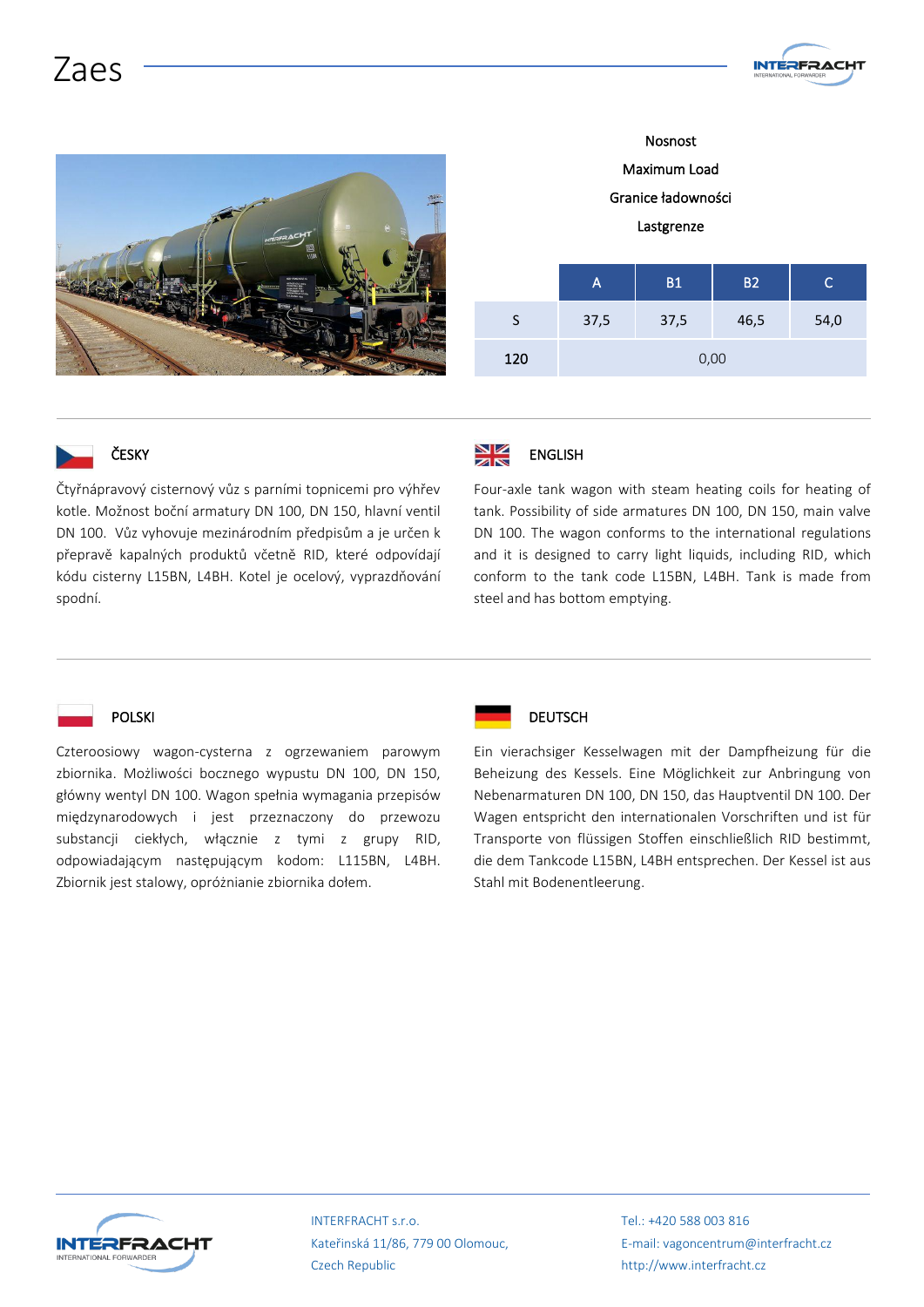## Zaes





nosti su ne della contratta di una contratta di una contratta di una contratta di una contratta di una contrat Maximum Load Granice ładowności Lastgrenze A B1 B2 C S 37,5 37,5 46,5 54,0 120 0,00



ČESKY

Čtyřnápravový cisternový vůz s parními topnicemi pro výhřev kotle. Možnost boční armatury DN 100, DN 150, hlavní ventil DN 100. Vůz vyhovuje mezinárodním předpisům a je určen k přepravě kapalných produktů včetně RID, které odpovídají kódu cisterny L15BN, L4BH. Kotel je ocelový, vyprazdňování spodní.



Four-axle tank wagon with steam heating coils for heating of tank. Possibility of side armatures DN 100, DN 150, main valve DN 100. The wagon conforms to the international regulations and it is designed to carry light liquids, including RID, which conform to the tank code L15BN, L4BH. Tank is made from steel and has bottom emptying.



Czteroosiowy wagon-cysterna z ogrzewaniem parowym zbiornika. Możliwości bocznego wypustu DN 100, DN 150, główny wentyl DN 100. Wagon spełnia wymagania przepisów międzynarodowych i jest przeznaczony do przewozu substancji ciekłych, włącznie z tymi z grupy RID, odpowiadającym następującym kodom: L115BN, L4BH. Zbiornik jest stalowy, opróżnianie zbiornika dołem.



## **DEUTSCH**

Ein vierachsiger Kesselwagen mit der Dampfheizung für die Beheizung des Kessels. Eine Möglichkeit zur Anbringung von Nebenarmaturen DN 100, DN 150, das Hauptventil DN 100. Der Wagen entspricht den internationalen Vorschriften und ist für Transporte von flüssigen Stoffen einschließlich RID bestimmt, die dem Tankcode L15BN, L4BH entsprechen. Der Kessel ist aus Stahl mit Bodenentleerung.



INTERFRACHT s.r.o. Kateřinská 11/86, 779 00 Olomouc, Czech Republic

Tel.: +420 588 003 816 E-mail: vagoncentrum@interfracht.cz http://www.interfracht.cz